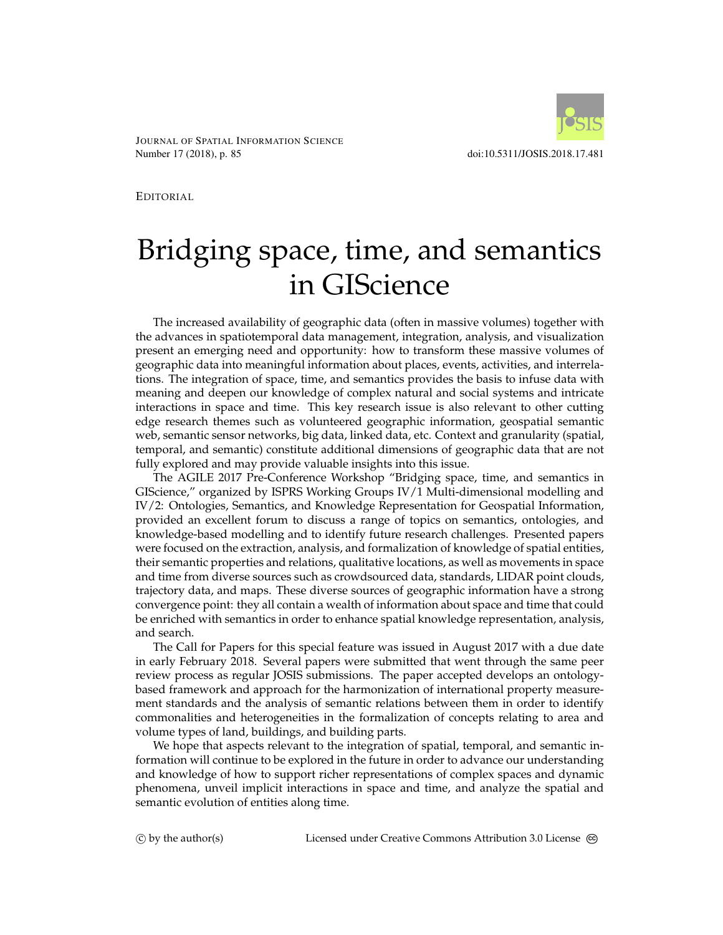

JOURNAL OF SPATIAL INFORMATION SCIENCE Number 17 (2018), p. 85 doi:10.5311/JOSIS.2018.17.481

EDITORIAL

## Bridging space, time, and semantics in GIScience

The increased availability of geographic data (often in massive volumes) together with the advances in spatiotemporal data management, integration, analysis, and visualization present an emerging need and opportunity: how to transform these massive volumes of geographic data into meaningful information about places, events, activities, and interrelations. The integration of space, time, and semantics provides the basis to infuse data with meaning and deepen our knowledge of complex natural and social systems and intricate interactions in space and time. This key research issue is also relevant to other cutting edge research themes such as volunteered geographic information, geospatial semantic web, semantic sensor networks, big data, linked data, etc. Context and granularity (spatial, temporal, and semantic) constitute additional dimensions of geographic data that are not fully explored and may provide valuable insights into this issue.

The AGILE 2017 Pre-Conference Workshop "Bridging space, time, and semantics in GIScience," organized by ISPRS Working Groups IV/1 Multi-dimensional modelling and IV/2: Ontologies, Semantics, and Knowledge Representation for Geospatial Information, provided an excellent forum to discuss a range of topics on semantics, ontologies, and knowledge-based modelling and to identify future research challenges. Presented papers were focused on the extraction, analysis, and formalization of knowledge of spatial entities, their semantic properties and relations, qualitative locations, as well as movements in space and time from diverse sources such as crowdsourced data, standards, LIDAR point clouds, trajectory data, and maps. These diverse sources of geographic information have a strong convergence point: they all contain a wealth of information about space and time that could be enriched with semantics in order to enhance spatial knowledge representation, analysis, and search.

The Call for Papers for this special feature was issued in August 2017 with a due date in early February 2018. Several papers were submitted that went through the same peer review process as regular JOSIS submissions. The paper accepted develops an ontologybased framework and approach for the harmonization of international property measurement standards and the analysis of semantic relations between them in order to identify commonalities and heterogeneities in the formalization of concepts relating to area and volume types of land, buildings, and building parts.

We hope that aspects relevant to the integration of spatial, temporal, and semantic information will continue to be explored in the future in order to advance our understanding and knowledge of how to support richer representations of complex spaces and dynamic phenomena, unveil implicit interactions in space and time, and analyze the spatial and semantic evolution of entities along time.